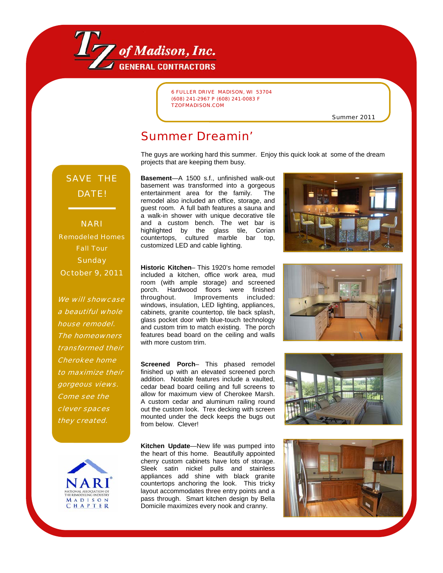

6 FULLER DRIVE MADISON, WI 53704 (608) 241-2967 P (608) 241-0083 F TZOFMADISON.COM

Summer 2011

#### Summer Dreamin'

The guys are working hard this summer. Enjoy this quick look at some of the dream projects that are keeping them busy.

## SAVE THE DATE!

NARI Remodeled Homes Fall Tour **Sunday** October 9, 2011

We will showcase a beautiful whole house remodel. The homeowners transformed their Cherokee home to maximize their gorgeous views. Come see the clever spaces they created.



**Basement**—A 1500 s.f., unfinished walk-out basement was transformed into a gorgeous entertainment area for the family. The remodel also included an office, storage, and guest room. A full bath features a sauna and a walk-in shower with unique decorative tile and a custom bench. The wet bar is highlighted by the glass tile, Corian countertops, cultured marble bar top, customized LED and cable lighting.

**Historic Kitchen**– This 1920's home remodel included a kitchen, office work area, mud room (with ample storage) and screened porch. Hardwood floors were finished throughout. Improvements included: windows, insulation, LED lighting, appliances, cabinets, granite countertop, tile back splash, glass pocket door with blue-touch technology and custom trim to match existing. The porch features bead board on the ceiling and walls with more custom trim.

**Screened Porch**– This phased remodel finished up with an elevated screened porch addition. Notable features include a vaulted, cedar bead board ceiling and full screens to allow for maximum view of Cherokee Marsh. A custom cedar and aluminum railing round out the custom look. Trex decking with screen mounted under the deck keeps the bugs out from below. Clever!

**Kitchen Update**—New life was pumped into the heart of this home. Beautifully appointed cherry custom cabinets have lots of storage. Sleek satin nickel pulls and stainless appliances add shine with black granite countertops anchoring the look. This tricky layout accommodates three entry points and a pass through. Smart kitchen design by Bella Domicile maximizes every nook and cranny.